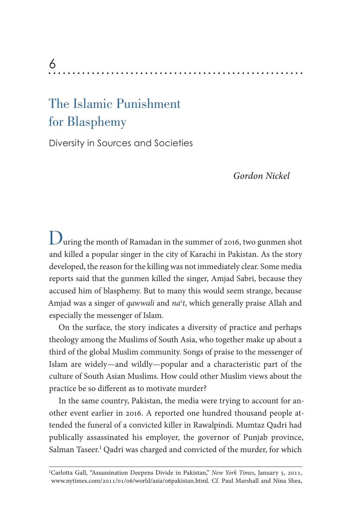# 6

# The Islamic Punishment for Blasphemy

Diversity in Sources and Societies

*Gordon Nickel*

During the month of Ramadan in the summer of 2016, two gunmen shot and killed a popular singer in the city of Karachi in Pakistan. As the story developed, the reason for the killing was not immediately clear. Some media reports said that the gunmen killed the singer, Amjad Sabri, because they accused him of blasphemy. But to many this would seem strange, because Amjad was a singer of *qawwali* and *naʿt*, which generally praise Allah and especially the messenger of Islam.

On the surface, the story indicates a diversity of practice and perhaps theology among the Muslims of South Asia, who together make up about a third of the global Muslim community. Songs of praise to the messenger of Islam are widely—and wildly—popular and a characteristic part of the culture of South Asian Muslims. How could other Muslim views about the practice be so diferent as to motivate murder?

In the same country, Pakistan, the media were trying to account for another event earlier in 2016. A reported one hundred thousand people attended the funeral of a convicted killer in Rawalpindi. Mumtaz Qadri had publically assassinated his employer, the governor of Punjab province, Salman Taseer.<sup>1</sup> Qadri was charged and convicted of the murder, for which

<sup>&</sup>lt;sup>1</sup>Carlotta Gall, "Assassination Deepens Divide in Pakistan," *New York Times*, January 5, 2011, [www.nytimes.com/](http://www.nytimes.com/2011/01/06/world/asia/06pakistan.html)2011/01/06/world/asia/06pakistan.html. Cf. Paul Marshall and Nina Shea,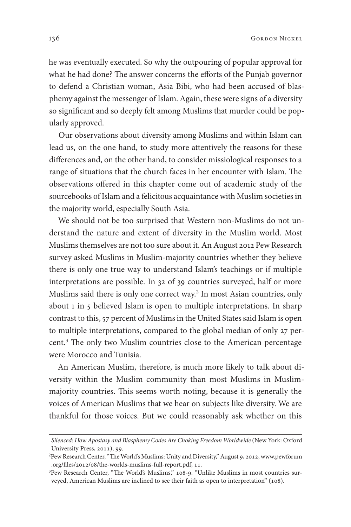he was eventually executed. So why the outpouring of popular approval for what he had done? The answer concerns the efforts of the Punjab governor to defend a Christian woman, Asia Bibi, who had been accused of blasphemy against the messenger of Islam. Again, these were signs of a diversity so signifcant and so deeply felt among Muslims that murder could be popularly approved.

Our observations about diversity among Muslims and within Islam can lead us, on the one hand, to study more attentively the reasons for these diferences and, on the other hand, to consider missiological responses to a range of situations that the church faces in her encounter with Islam. The observations ofered in this chapter come out of academic study of the sourcebooks of Islam and a felicitous acquaintance with Muslim societies in the majority world, especially South Asia.

We should not be too surprised that Western non-Muslims do not understand the nature and extent of diversity in the Muslim world. Most Muslims themselves are not too sure about it. An August 2012 Pew Research survey asked Muslims in Muslim-majority countries whether they believe there is only one true way to understand Islam's teachings or if multiple interpretations are possible. In 32 of 39 countries surveyed, half or more Muslims said there is only one correct way.<sup>2</sup> In most Asian countries, only about 1 in 5 believed Islam is open to multiple interpretations. In sharp contrast to this, 57 percent of Muslims in the United States said Islam is open to multiple interpretations, compared to the global median of only 27 percent.<sup>3</sup> The only two Muslim countries close to the American percentage were Morocco and Tunisia.

An American Muslim, therefore, is much more likely to talk about diversity within the Muslim community than most Muslims in Muslimmajority countries. This seems worth noting, because it is generally the voices of American Muslims that we hear on subjects like diversity. We are thankful for those voices. But we could reasonably ask whether on this

*Silenced: How Apostasy and Blasphemy Codes Are Choking Freedom Worldwide* (New York: Oxford University Press, 2011), 99.

Pew Research Center, "The World's Muslims: Unity and Diversity," August 9, 2012, [www.pewforum](http://www.pewforum.org/files/2012/08/the-worlds-muslims-full-report.pdf)  $^2$ .org/files/2012/08/the-worlds-muslims-full-report.pdf, 11.

<sup>&</sup>lt;sup>3</sup>Pew Research Center, "The World's Muslims," 108-9. "Unlike Muslims in most countries surveyed, American Muslims are inclined to see their faith as open to interpretation" (108).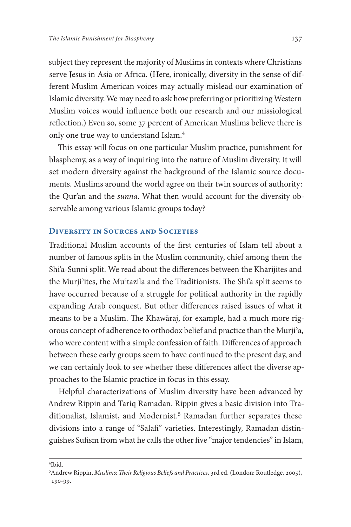subject they represent the majority of Muslims in contexts where Christians serve Jesus in Asia or Africa. (Here, ironically, diversity in the sense of different Muslim American voices may actually mislead our examination of Islamic diversity. We may need to ask how preferring or prioritizing Western Muslim voices would infuence both our research and our missiological refection.) Even so, some 37 percent of American Muslims believe there is only one true way to understand Islam.

This essay will focus on one particular Muslim practice, punishment for blasphemy, as a way of inquiring into the nature of Muslim diversity. It will set modern diversity against the background of the Islamic source documents. Muslims around the world agree on their twin sources of authority: the Qur'an and the *sunna*. What then would account for the diversity observable among various Islamic groups today?

## **Diversity in Sources and Societies**

Traditional Muslim accounts of the frst centuries of Islam tell about a number of famous splits in the Muslim community, chief among them the Shi'a-Sunni split. We read about the diferences between the Khārijites and the Murji'ites, the Mu'tazila and the Traditionists. The Shi'a split seems to have occurred because of a struggle for political authority in the rapidly expanding Arab conquest. But other diferences raised issues of what it means to be a Muslim. The Khawāraj, for example, had a much more rigorous concept of adherence to orthodox belief and practice than the Murjiʾa, who were content with a simple confession of faith. Diferences of approach between these early groups seem to have continued to the present day, and we can certainly look to see whether these diferences afect the diverse approaches to the Islamic practice in focus in this essay.

Helpful characterizations of Muslim diversity have been advanced by Andrew Rippin and Tariq Ramadan. Rippin gives a basic division into Traditionalist, Islamist, and Modernist. Ramadan further separates these divisions into a range of "Salaf" varieties. Interestingly, Ramadan distinguishes Sufsm from what he calls the other fve "major tendencies" in Islam,

<sup>4</sup> Ibid.

<sup>5</sup> Andrew Rippin, *Muslims: Their Religious Beliefs and Practices*, 3rd ed. (London: Routledge, 2005), 190-99.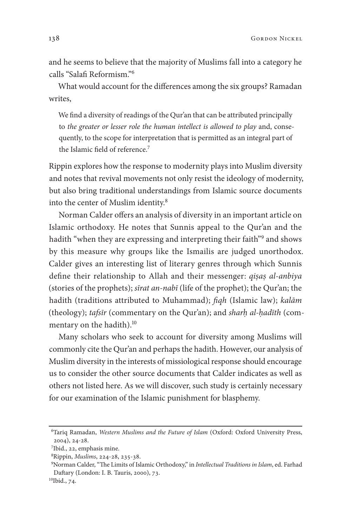and he seems to believe that the majority of Muslims fall into a category he calls "Salaf Reformism."

What would account for the diferences among the six groups? Ramadan writes,

We fnd a diversity of readings of the Qur'an that can be attributed principally to *the greater or lesser role the human intellect is allowed to play* and, consequently, to the scope for interpretation that is permitted as an integral part of the Islamic field of reference.<sup>7</sup>

Rippin explores how the response to modernity plays into Muslim diversity and notes that revival movements not only resist the ideology of modernity, but also bring traditional understandings from Islamic source documents into the center of Muslim identity.

Norman Calder offers an analysis of diversity in an important article on Islamic orthodoxy. He notes that Sunnis appeal to the Qur'an and the hadith "when they are expressing and interpreting their faith"<sup>9</sup> and shows by this measure why groups like the Ismailis are judged unorthodox. Calder gives an interesting list of literary genres through which Sunnis defne their relationship to Allah and their messenger: *qiṣaṣ al-anbiya*  (stories of the prophets); *s*ī*rat an-nab*ī (life of the prophet); the Qur'an; the hadith (traditions attributed to Muhammad); f*qh* (Islamic law); *kal*ā*m* (theology); *tafs*ī*r* (commentary on the Qur'an); and *sharḥ al-ḥad*ī*th* (commentary on the hadith).<sup>10</sup>

Many scholars who seek to account for diversity among Muslims will commonly cite the Qur'an and perhaps the hadith. However, our analysis of Muslim diversity in the interests of missiological response should encourage us to consider the other source documents that Calder indicates as well as others not listed here. As we will discover, such study is certainly necessary for our examination of the Islamic punishment for blasphemy.

<sup>6</sup> Tariq Ramadan, *Western Muslims and the Future of Islam* (Oxford: Oxford University Press,  $2004$ ,  $24-28$ .

<sup>7</sup>Ibid., 22, emphasis mine.

<sup>8</sup>Rippin, *Muslims*, 224-28, 235-38.

<sup>9</sup> Norman Calder, "Te Limits of Islamic Orthodoxy," in *Intellectual Traditions in Islam*, ed. Farhad Daftary (London: I. B. Tauris, 2000), 73.

 $10$ Ibid., 74.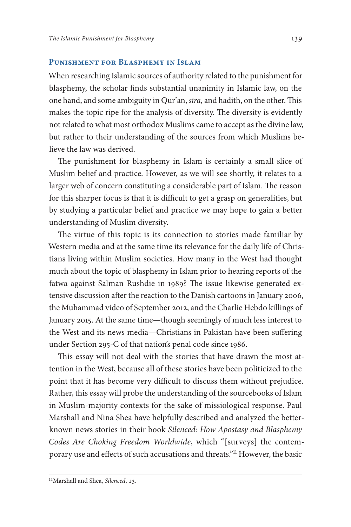#### **Punishment for Blasphemy in Islam**

When researching Islamic sources of authority related to the punishment for blasphemy, the scholar fnds substantial unanimity in Islamic law, on the one hand, and some ambiguity in Qur'an, *s*ī*ra,* and hadith, on the other. Tis makes the topic ripe for the analysis of diversity. The diversity is evidently not related to what most orthodox Muslims came to accept as the divine law, but rather to their understanding of the sources from which Muslims believe the law was derived.

The punishment for blasphemy in Islam is certainly a small slice of Muslim belief and practice. However, as we will see shortly, it relates to a larger web of concern constituting a considerable part of Islam. The reason for this sharper focus is that it is difficult to get a grasp on generalities, but by studying a particular belief and practice we may hope to gain a better understanding of Muslim diversity.

The virtue of this topic is its connection to stories made familiar by Western media and at the same time its relevance for the daily life of Christians living within Muslim societies. How many in the West had thought much about the topic of blasphemy in Islam prior to hearing reports of the fatwa against Salman Rushdie in 1989? The issue likewise generated extensive discussion after the reaction to the Danish cartoons in January 2006, the Muhammad video of September 2012, and the Charlie Hebdo killings of January 2015. At the same time—though seemingly of much less interest to the West and its news media—Christians in Pakistan have been sufering under Section 295-C of that nation's penal code since 1986.

This essay will not deal with the stories that have drawn the most attention in the West, because all of these stories have been politicized to the point that it has become very difficult to discuss them without prejudice. Rather, this essay will probe the understanding of the sourcebooks of Islam in Muslim-majority contexts for the sake of missiological response. Paul Marshall and Nina Shea have helpfully described and analyzed the betterknown news stories in their book *Silenced: How Apostasy and Blasphemy Codes Are Choking Freedom Worldwide*, which "[surveys] the contemporary use and effects of such accusations and threats."<sup>11</sup> However, the basic

<sup>&</sup>lt;sup>11</sup>Marshall and Shea, *Silenced*, 13.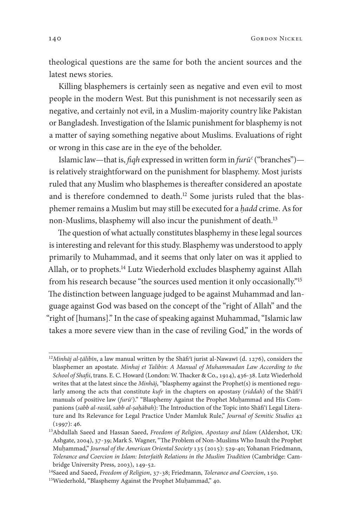140 GORDON NICKEL

theological questions are the same for both the ancient sources and the latest news stories.

Killing blasphemers is certainly seen as negative and even evil to most people in the modern West. But this punishment is not necessarily seen as negative, and certainly not evil, in a Muslim-majority country like Pakistan or Bangladesh. Investigation of the Islamic punishment for blasphemy is not a matter of saying something negative about Muslims. Evaluations of right or wrong in this case are in the eye of the beholder.

Islamic law—that is, f*qh* expressed in written form in *fur*ū*ʿ*("branches") is relatively straightforward on the punishment for blasphemy. Most jurists ruled that any Muslim who blasphemes is thereafter considered an apostate and is therefore condemned to death.<sup>12</sup> Some jurists ruled that the blasphemer remains a Muslim but may still be executed for a *ḥadd* crime. As for non-Muslims, blasphemy will also incur the punishment of death.

The question of what actually constitutes blasphemy in these legal sources is interesting and relevant for this study. Blasphemy was understood to apply primarily to Muhammad, and it seems that only later on was it applied to Allah, or to prophets.<sup>14</sup> Lutz Wiederhold excludes blasphemy against Allah from his research because "the sources used mention it only occasionally."<sup>15</sup> The distinction between language judged to be against Muhammad and language against God was based on the concept of the "right of Allah" and the "right of [humans]." In the case of speaking against Muhammad, "Islamic law takes a more severe view than in the case of reviling God," in the words of

<sup>&</sup>lt;sup>12</sup>Minhāj al-țālibīn, a law manual written by the Shāfi<sup>c</sup>ī jurist al-Nawawī (d. 1276), considers the blasphemer an apostate. *Minhaj et Talibin: A Manual of Muhammadan Law According to the School of Shafii*, trans. E. C. Howard (London: W. Thacker & Co., 1914), 436-38. Lutz Wiederhold writes that at the latest since the *Minh*ā*j*, "blasphemy against the Prophet(s) is mentioned regularly among the acts that constitute *kufr* in the chapters on apostasy (*riddah*) of the Shāfi<sup>c</sup>ī manuals of positive law (*fur*ū*ʿ*)." "Blasphemy Against the Prophet Muḥammad and His Companions (sabb al-rasūl, sabb al-șaḥābah): The Introduction of the Topic into Shāfi'ī Legal Literature and Its Relevance for Legal Practice Under Mamluk Rule," *Journal of Semitic Studies*  $(1997): 46.$ 

<sup>13</sup>Abdullah Saeed and Hassan Saeed, *Freedom of Religion, Apostasy and Islam* (Aldershot, UK: Ashgate, 2004), 37-39; Mark S. Wagner, "The Problem of Non-Muslims Who Insult the Prophet Muḥammad," *Journal of the American Oriental Society* 135 (2015): 529-40; Yohanan Friedmann, *Tolerance and Coercion in Islam: Interfaith Relations in the Muslim Tradition* (Cambridge: Cambridge University Press, 2003), 149-52.

<sup>&</sup>lt;sup>14</sup>Saeed and Saeed, *Freedom of Religion*, 37-38; Friedmann, *Tolerance and Coercion*, 150.

<sup>&</sup>lt;sup>15</sup>Wiederhold, "Blasphemy Against the Prophet Muḥammad," 40.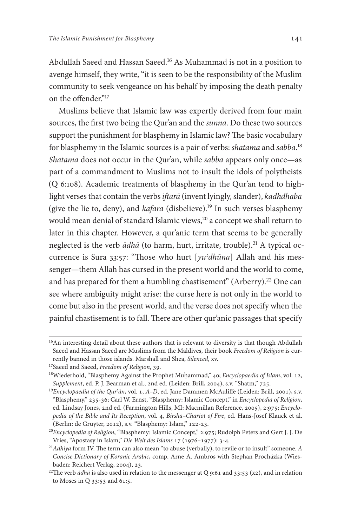Abdullah Saeed and Hassan Saeed.<sup>16</sup> As Muhammad is not in a position to avenge himself, they write, "it is seen to be the responsibility of the Muslim community to seek vengeance on his behalf by imposing the death penalty on the offender."<sup>17</sup>

Muslims believe that Islamic law was expertly derived from four main sources, the frst two being the Qur'an and the *sunna*. Do these two sources support the punishment for blasphemy in Islamic law? The basic vocabulary for blasphemy in the Islamic sources is a pair of verbs: *shatama* and *sabba*. *Shatama* does not occur in the Qur'an, while *sabba* appears only once—as part of a commandment to Muslims not to insult the idols of polytheists (Q 6:108). Academic treatments of blasphemy in the Qur'an tend to highlight verses that contain the verbs *i*f*ar*ā (invent lyingly, slander), *kadhdhaba* (give the lie to, deny), and *kafara* (disbelieve).<sup>19</sup> In such verses blasphemy would mean denial of standard Islamic views,<sup>20</sup> a concept we shall return to later in this chapter. However, a qur'anic term that seems to be generally neglected is the verb  $\bar{a}$ dha<sup> $\bar{a}$ </sup> (to harm, hurt, irritate, trouble).<sup>21</sup> A typical occurrence is Sura 33:57: "Tose who hurt [*yuʾdh*ū*na*] Allah and his messenger—them Allah has cursed in the present world and the world to come, and has prepared for them a humbling chastisement" (Arberry).<sup>22</sup> One can see where ambiguity might arise: the curse here is not only in the world to come but also in the present world, and the verse does not specify when the painful chastisement is to fall. There are other qur'anic passages that specify

<sup>&</sup>lt;sup>16</sup>An interesting detail about these authors that is relevant to diversity is that though Abdullah Saeed and Hassan Saeed are Muslims from the Maldives, their book *Freedom of Religion* is currently banned in those islands. Marshall and Shea, *Silenced*, xv. <sup>17</sup>Saeed and Saeed, *Freedom of Religion*, 39.

<sup>&</sup>lt;sup>18</sup>Wiederhold, "Blasphemy Against the Prophet Muḥammad," 40; Encyclopaedia of Islam, vol. 12, *Supplement*, ed. P. J. Bearman et al., 2nd ed. (Leiden: Brill, 2004), s.v. "Shatm," 725.

<sup>&</sup>lt;sup>19</sup>*Encyclopaedia of the Qur<sup><i>*</sup>ān, vol. 1, A–D, ed. Jane Dammen McAuliffe (Leiden: Brill, 2001), s.v. "Blasphemy," 235-36; Carl W. Ernst, "Blasphemy: Islamic Concept," in *Encyclopedia of Religion*, ed. Lindsay Jones, 2nd ed. (Farmington Hills, MI: Macmillan Reference, 2005), 2:975; *Encyclopedia of the Bible and Its Reception, vol. 4, Birsha-Chariot of Fire, ed. Hans-Josef Klauck et al.* (Berlin: de Gruyter, 2012), s.v. "Blasphemy: Islam," 122-23.

<sup>&</sup>lt;sup>20</sup>Encyclopedia of Religion, "Blasphemy: Islamic Concept," 2:975; Rudolph Peters and Gert J. J. De Vries, "Apostasy in Islam," *Die Welt des Islams* 17 (1976-1977): 3-4.

<sup>&</sup>lt;sup>21</sup>*Adhiya* form IV. The term can also mean "to abuse (verbally), to revile or to insult" someone. *A Concise Dictionary of Koranic Arabic*, comp. Arne A. Ambros with Stephan Procházka (Wiesbaden: Reichert Verlag, 2004), 23.

<sup>&</sup>lt;sup>22</sup>The verb  $\bar{a}$ dhā is also used in relation to the messenger at Q 9:61 and 33:53 (x2), and in relation to Moses in Q  $33:53$  and 61:5.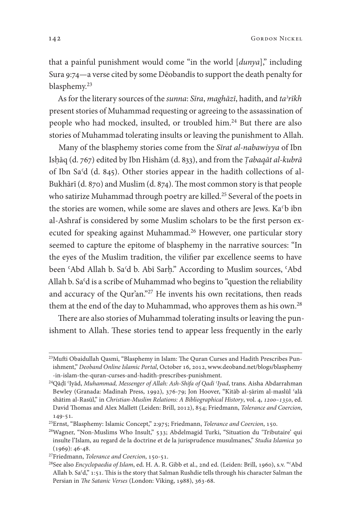142 Gordon Nickel

that a painful punishment would come "in the world [*dunya*]," including Sura 9:74—a verse cited by some Dēobandīs to support the death penalty for blasphemy.

As for the literary sources of the *sunna*: *S*ī*ra*, *magh*ā*z*ī, hadith, and *taʾr*ī*kh* present stories of Muhammad requesting or agreeing to the assassination of people who had mocked, insulted, or troubled him.<sup>24</sup> But there are also stories of Muhammad tolerating insults or leaving the punishment to Allah.

Many of the blasphemy stories come from the *S*ī*rat al-nabawiyya* of Ibn Isḥāq (d. 767) edited by Ibn Hishām (d. 833), and from the *Ṭabaq*ā*t al-kubr*ā of Ibn Sa*ʿ*d (d. 845). Other stories appear in the hadith collections of al-Bukhārī (d. 870) and Muslim (d. 874). The most common story is that people who satirize Muhammad through poetry are killed.<sup>25</sup> Several of the poets in the stories are women, while some are slaves and others are Jews. Ka<sup>c</sup>b ibn al-Ashraf is considered by some Muslim scholars to be the frst person executed for speaking against Muhammad.<sup>26</sup> However, one particular story seemed to capture the epitome of blasphemy in the narrative sources: "In the eyes of the Muslim tradition, the vilifer par excellence seems to have been ʿAbd Allah b. Sa*ʿ*d b. Abī Sarḥ." According to Muslim sources, ʿAbd Allah b. Saʿd is a scribe of Muhammad who begins to "question the reliability and accuracy of the Qur'an."<sup>27</sup> He invents his own recitations, then reads them at the end of the day to Muhammad, who approves them as his own.<sup>28</sup>

There are also stories of Muhammad tolerating insults or leaving the punishment to Allah. These stories tend to appear less frequently in the early

<sup>&</sup>lt;sup>23</sup>Mufti Obaidullah Qasmi, "Blasphemy in Islam: The Quran Curses and Hadith Prescribes Punishment," *Deoband Online Islamic Portal*, October 16, 2012, [www.deoband.net/blogs/blasphemy](http://www.deoband.net/blogs/blasphemy-in-islam-the-quran-curses-and-hadith-prescribes-punishment) [-in-islam-the-quran-curses-and-hadith-prescribes-punishment](http://www.deoband.net/blogs/blasphemy-in-islam-the-quran-curses-and-hadith-prescribes-punishment).

<sup>24</sup>Qāḍī ʿIyād, *Muhammad, Messenger of Allah: Ash-Shifa of Qadi ʿIyad*, trans. Aisha Abdarrahman Bewley (Granada: Madinah Press, 1992), 376-79; Jon Hoover, "Kitāb al-ṣārim al-maslūl 'alā shātim al-Rasūl," in *Christian-Muslim Relations: A Bibliographical History*, vol. 4, 1200-1350, ed. David Thomas and Alex Mallett (Leiden: Brill, 2012), 854; Friedmann, *Tolerance and Coercion*,  $149 - 51.$ 

<sup>&</sup>lt;sup>25</sup>Ernst, "Blasphemy: Islamic Concept," 2:975; Friedmann, *Tolerance and Coercion*, 150.

<sup>&</sup>lt;sup>26</sup>Wagner, "Non-Muslims Who Insult," 533; Abdelmagid Turki, "Situation du 'Tributaire' qui insulte l'Islam, au regard de la doctrine et de la jurisprudence musulmanes," *Studia Islamica*  $(1969): 46-48.$ 

<sup>&</sup>lt;sup>27</sup>Friedmann, *Tolerance and Coercion*, 150-51.

<sup>&</sup>lt;sup>28</sup>See also *Encyclopaedia of Islam*, ed. H. A. R. Gibb et al., 2nd ed. (Leiden: Brill, 1960), s.v. "<sup>c</sup>Abd Allah b. Sa'd," 1:51. This is the story that Salman Rushdie tells through his character Salman the Persian in The Satanic Verses (London: Viking, 1988), 363-68.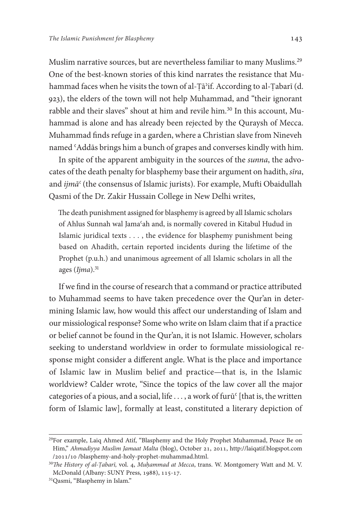Muslim narrative sources, but are nevertheless familiar to many Muslims. One of the best-known stories of this kind narrates the resistance that Muhammad faces when he visits the town of al-Țā<sup>2</sup>if. According to al-Țabarī (d. 923), the elders of the town will not help Muhammad, and "their ignorant rabble and their slaves" shout at him and revile him.<sup>30</sup> In this account, Muhammad is alone and has already been rejected by the Quraysh of Mecca. Muhammad fnds refuge in a garden, where a Christian slave from Nineveh named ʿAddās brings him a bunch of grapes and converses kindly with him.

In spite of the apparent ambiguity in the sources of the *sunna*, the advocates of the death penalty for blasphemy base their argument on hadith, *s*ī*ra*, and *ijm*ā*ʿ* (the consensus of Islamic jurists). For example, Mufi Obaidullah Qasmi of the Dr. Zakir Hussain College in New Delhi writes,

The death punishment assigned for blasphemy is agreed by all Islamic scholars of Ahlus Sunnah wal Jamaʿah and, is normally covered in Kitabul Hudud in Islamic juridical texts . . . , the evidence for blasphemy punishment being based on Ahadith, certain reported incidents during the lifetime of the Prophet (p.u.h.) and unanimous agreement of all Islamic scholars in all the ages (*Ijma*).

If we fnd in the course of research that a command or practice attributed to Muhammad seems to have taken precedence over the Qur'an in determining Islamic law, how would this afect our understanding of Islam and our missiological response? Some who write on Islam claim that if a practice or belief cannot be found in the Qur'an, it is not Islamic. However, scholars seeking to understand worldview in order to formulate missiological response might consider a diferent angle. What is the place and importance of Islamic law in Muslim belief and practice—that is, in the Islamic worldview? Calder wrote, "Since the topics of the law cover all the major categories of a pious, and a social, life ..., a work of furū<sup>c</sup> [that is, the written form of Islamic law], formally at least, constituted a literary depiction of

<sup>29</sup>For example, Laiq Ahmed Atif, "Blasphemy and the Holy Prophet Muhammad, Peace Be on Him," Ahmadiyya Muslim Jamaat Malta (blog), October 21, 2011, [http://laiqatif.blogspot.com](http://laiqatif.blogspot.com/2011/10/blasphemy-and-holy-prophet-muhammad.html) // [/blasphemy-and-holy-prophet-muhammad.html.](http://laiqatif.blogspot.com/2011/10/blasphemy-and-holy-prophet-muhammad.html)

<sup>&</sup>lt;sup>30</sup>The History of al-*Tabarī*, vol. 4, *Muhammad at Mecca*, trans. W. Montgomery Watt and M. V. McDonald (Albany: SUNY Press, 1988), 115-17.

<sup>31</sup>Qasmi, "Blasphemy in Islam."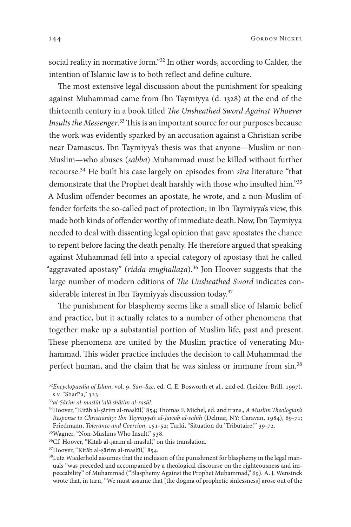144 Gordon Nickel

social reality in normative form."<sup>32</sup> In other words, according to Calder, the intention of Islamic law is to both refect and defne culture.

The most extensive legal discussion about the punishment for speaking against Muhammad came from Ibn Taymiyya (d. 1328) at the end of the thirteenth century in a book titled *The Unsheathed Sword Against Whoever* Insults the Messenger.<sup>33</sup> This is an important source for our purposes because the work was evidently sparked by an accusation against a Christian scribe near Damascus. Ibn Taymiyya's thesis was that anyone—Muslim or non-Muslim—who abuses (*sabba*) Muhammad must be killed without further recourse.<sup>34</sup> He built his case largely on episodes from *sīra* literature "that demonstrate that the Prophet dealt harshly with those who insulted him."35 A Muslim ofender becomes an apostate, he wrote, and a non-Muslim offender forfeits the so-called pact of protection; in Ibn Taymiyya's view, this made both kinds of ofender worthy of immediate death. Now, Ibn Taymiyya needed to deal with dissenting legal opinion that gave apostates the chance to repent before facing the death penalty. He therefore argued that speaking against Muhammad fell into a special category of apostasy that he called "aggravated apostasy" (*ridda mughallaẓa*). Jon Hoover suggests that the large number of modern editions of The Unsheathed Sword indicates considerable interest in Ibn Taymiyya's discussion today.<sup>37</sup>

The punishment for blasphemy seems like a small slice of Islamic belief and practice, but it actually relates to a number of other phenomena that together make up a substantial portion of Muslim life, past and present. These phenomena are united by the Muslim practice of venerating Muhammad. This wider practice includes the decision to call Muhammad the perfect human, and the claim that he was sinless or immune from sin.<sup>38</sup>

<sup>&</sup>lt;sup>32</sup>Encyclopaedia of Islam, vol. 9, *San-Sze*, ed. C. E. Bosworth et al., 2nd ed. (Leiden: Brill, 1997), s.v. "Sharī'a," 323.

<sup>33</sup>*al-Ṣ*ā*rim al-masl*ū*l ʿal*ā *sh*ā*tim al-ras*ū*l.*

<sup>&</sup>lt;sup>34</sup>Hoover, "Kitāb al-ṣārim al-maslūl," 854; Thomas F. Michel, ed. and trans., *A Muslim Theologian's Response to Christianity: Ibn Taymiyya's al-Jawab al-sahih (Delmar, NY: Caravan, 1984), 69-71;* Friedmann, *Tolerance and Coercion*, 151-52; Turki, "Situation du 'Tributaire," 39-72.

<sup>&</sup>lt;sup>35</sup>Wagner, "Non-Muslims Who Insult," 538.

<sup>36</sup>Cf. Hoover, "Kitāb al-*ṣ*ārim al-maslūl," on this translation.

<sup>&</sup>lt;sup>37</sup>Hoover, "Kitāb al-ṣārim al-maslūl," 854.

<sup>&</sup>lt;sup>38</sup>Lutz Wiederhold assumes that the inclusion of the punishment for blasphemy in the legal manuals "was preceded and accompanied by a theological discourse on the righteousness and impeccability" of Muhammad ("Blasphemy Against the Prophet Muḥammad," 69). A. J. Wensinck wrote that, in turn, "We must assume that [the dogma of prophetic sinlessness] arose out of the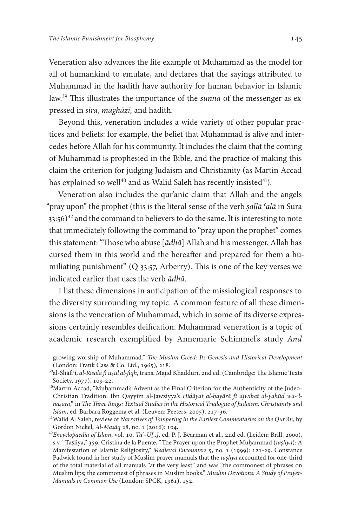Veneration also advances the life example of Muhammad as the model for all of humankind to emulate, and declares that the sayings attributed to Muhammad in the hadith have authority for human behavior in Islamic law.<sup>39</sup> This illustrates the importance of the *sunna* of the messenger as expressed in *s*ī*ra*, *magh*ā*z*ī*,* and hadith.

Beyond this, veneration includes a wide variety of other popular practices and beliefs: for example, the belief that Muhammad is alive and intercedes before Allah for his community. It includes the claim that the coming of Muhammad is prophesied in the Bible, and the practice of making this claim the criterion for judging Judaism and Christianity (as Martin Accad has explained so well<sup>40</sup> and as Walid Saleh has recently insisted<sup>41</sup>).

Veneration also includes the qur'anic claim that Allah and the angels "pray upon" the prophet (this is the literal sense of the verb *ṣall*ā *ʿal*ā in Sura  $33:56$ <sup>42</sup> and the command to believers to do the same. It is interesting to note that immediately following the command to "pray upon the prophet" comes this statement: "Those who abuse [ $\bar{a}dh\bar{a}$ ] Allah and his messenger, Allah has cursed them in this world and the hereafer and prepared for them a humiliating punishment" ( $Q$  33:57, Arberry). This is one of the key verses we indicated earlier that uses the verb ā*dh*ā.

I list these dimensions in anticipation of the missiological responses to the diversity surrounding my topic. A common feature of all these dimensions is the veneration of Muhammad, which in some of its diverse expressions certainly resembles deifcation. Muhammad veneration is a topic of academic research exemplifed by Annemarie Schimmel's study *And* 

growing worship of Muhammad." T*e Muslim Creed: Its Genesis and Historical Development* (London: Frank Cass & Co. Ltd., 1965), 218.

<sup>&</sup>lt;sup>39</sup>al-Shāfi'ī, *al-Risāla fī uṣūl al-fiqh*, trans. Majid Khadduri, 2nd ed. (Cambridge: The Islamic Texts Society, 1977), 109-22.

<sup>40</sup>Martin Accad, "Muḥammad's Advent as the Final Criterion for the Authenticity of the Judeo-Christian Tradition: Ibn Qayyim al-Jawziyya's *Hid*ā*yat al-ḥay*ā*r*ā *f*ī *ajwibat al-yah*ū*d wa-ʾlnaṣ*ā*r*ā," in T*e* T*ree Rings: Textual Studies in the Historical Trialogue of Judaism, Christianity and Islam*, ed. Barbara Roggema et al. (Leuven: Peeters, 2005), 217-36.

<sup>41</sup>Walid A. Saleh, review of *Narratives of Tampering in the Earliest Commentaries on the Qurʾ*ā*n*, by Gordon Nickel,  $Al-Mas\bar{a}q$  28, no. 1 (2016): 104.

<sup>&</sup>lt;sup>42</sup>Encyclopaedia of Islam, vol. 10, Tā'-U[..], ed. P. J. Bearman et al., 2nd ed. (Leiden: Brill, 2000), s.v. "Taṣliya," . Cristina de la Puente, "Te Prayer upon the Prophet Muḥammad (*taṣliya*): A Manifestation of Islamic Religiosity," *Medieval Encounters* 5, no. 1 (1999): 121-29. Constance Padwick found in her study of Muslim prayer manuals that the *taṣliya* accounted for one-third of the total material of all manuals "at the very least" and was "the commonest of phrases on Muslim lips; the commonest of phrases in Muslim books." *Muslim Devotions: A Study of Prayer-Manuals in Common Use* (London: SPCK, 1961), 152.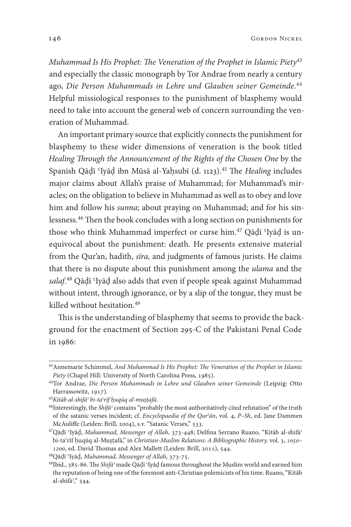*Muhammad Is His Prophet:* T*e Veneration of the Prophet in Islamic Piety* and especially the classic monograph by Tor Andrae from nearly a century ago, *Die Person Muhammads in Lehre und Glauben seiner Gemeinde*. Helpful missiological responses to the punishment of blasphemy would need to take into account the general web of concern surrounding the veneration of Muhammad.

An important primary source that explicitly connects the punishment for blasphemy to these wider dimensions of veneration is the book titled *Healing* T*rough the Announcement of the Rights of the Chosen One* by the Spanish Qāḍī 'Iyāḍ ibn Mūsā al-Yaḥsubī (d. 1123).<sup>45</sup> The *Healing* includes major claims about Allah's praise of Muhammad; for Muhammad's miracles; on the obligation to believe in Muhammad as well as to obey and love him and follow his *sunna*; about praying on Muhammad; and for his sinlessness.<sup>46</sup> Then the book concludes with a long section on punishments for those who think Muhammad imperfect or curse him.<sup>47</sup> Qāḍī 'Iyāḍ is unequivocal about the punishment: death. He presents extensive material from the Qur'an, hadith, *s*ī*ra,* and judgments of famous jurists. He claims that there is no dispute about this punishment among the *ulama* and the *salaf*. Qāḍī ʿIyāḍ also adds that even if people speak against Muhammad without intent, through ignorance, or by a slip of the tongue, they must be killed without hesitation.

This is the understanding of blasphemy that seems to provide the background for the enactment of Section 295-C of the Pakistani Penal Code in 1986:

<sup>43</sup>Annemarie Schimmel, *And Muhammad Is His Prophet:* T*e Veneration of the Prophet in Islamic Piety* (Chapel Hill: University of North Carolina Press, 1985).

<sup>44</sup>Tor Andrae, *Die Person Muhammads in Lehre und Glauben seiner Gemeinde* (Leipzig: Otto Harrassowitz, 1917).

<sup>45</sup>*Kit*ā*b al-shif*ā*ʾ bi-taʿr*ī*f ḥuq*ū*q al-muṣṭaf*ā.

<sup>46</sup>Interestingly, the *Shif*ā*ʾ* contains "probably the most authoritatively cited refutation" of the truth of the satanic verses incident; cf. *Encyclopaedia of the Qurʾ*ā*n*, vol. , *P–Sh*, ed. Jane Dammen McAuliffe (Leiden: Brill, 2004), s.v. "Satanic Verses," 533.

<sup>&</sup>lt;sup>47</sup>Qāḍī 'Iyāḍ, Muhammad, Messenger of Allah, 373-448; Delfina Serrano Ruano, "Kitāb al-shifā<sup>></sup> bi-ta<sup>c</sup>rīf huqūq al-Muṣṭafā," in *Christian-Muslim Relations: A Bibliographic History, vol.* 3, 1050-1200, ed. David Thomas and Alex Mallett (Leiden: Brill, 2011), 544.

<sup>&</sup>lt;sup>48</sup>Qāḍī 'Iyāḍ, Muhammad, Messenger of Allah, 373-75.

<sup>&</sup>lt;sup>49</sup>Ibid., 385-86. The *Shifā<sup>3</sup>* made Qāḍī 'Iyāḍ famous throughout the Muslim world and earned him the reputation of being one of the foremost anti-Christian polemicists of his time. Ruano, "Kitāb al-shifā<sup>3</sup>," 544.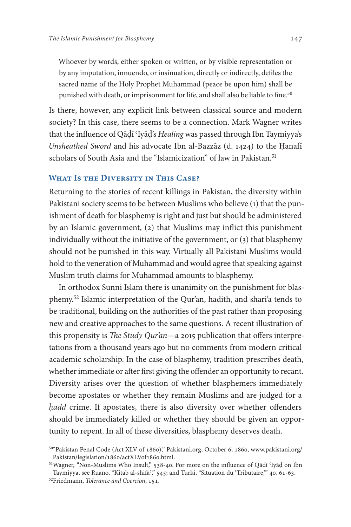Whoever by words, either spoken or written, or by visible representation or by any imputation, innuendo, or insinuation, directly or indirectly, defles the sacred name of the Holy Prophet Muhammad (peace be upon him) shall be punished with death, or imprisonment for life, and shall also be liable to fine.<sup>50</sup>

Is there, however, any explicit link between classical source and modern society? In this case, there seems to be a connection. Mark Wagner writes that the infuence of Qāḍī ʿIyāḍ's *Healing* was passed through Ibn Taymiyya's *Unsheathed Sword* and his advocate Ibn al-Bazzāz (d. 1424) to the Ḥanafī scholars of South Asia and the "Islamicization" of law in Pakistan.<sup>51</sup>

### **What Is the Diversity in This Case?**

Returning to the stories of recent killings in Pakistan, the diversity within Pakistani society seems to be between Muslims who believe (1) that the punishment of death for blasphemy is right and just but should be administered by an Islamic government, (2) that Muslims may infict this punishment individually without the initiative of the government, or (3) that blasphemy should not be punished in this way. Virtually all Pakistani Muslims would hold to the veneration of Muhammad and would agree that speaking against Muslim truth claims for Muhammad amounts to blasphemy.

In orthodox Sunni Islam there is unanimity on the punishment for blasphemy.<sup>52</sup> Islamic interpretation of the Qur'an, hadith, and shari'a tends to be traditional, building on the authorities of the past rather than proposing new and creative approaches to the same questions. A recent illustration of this propensity is *The Study Qur'an*—a 2015 publication that offers interpretations from a thousand years ago but no comments from modern critical academic scholarship. In the case of blasphemy, tradition prescribes death, whether immediate or after first giving the offender an opportunity to recant. Diversity arises over the question of whether blasphemers immediately become apostates or whether they remain Muslims and are judged for a *hadd* crime. If apostates, there is also diversity over whether offenders should be immediately killed or whether they should be given an opportunity to repent. In all of these diversities, blasphemy deserves death.

<sup>50&</sup>quot;Pakistan Penal Code (Act XLV of 1860)," [Pakistani.org,](http://www.Pakistani.org) October 6, 1860, [www.pakistani.org/](http://www.pakistani.org/pakistan/legislation/1860/actXLVof1860.html) [Pakistan/legislation/](http://www.pakistani.org/pakistan/legislation/1860/actXLVof1860.html)1860/actXLVof1860.html.

 $51$ Wagner, "Non-Muslims Who Insult," 538-40. For more on the influence of Qādī 'Iyād on Ibn Taymiyya, see Ruano, "Kitāb al-shifā'," 545; and Turki, "Situation du 'Tributaire," 40, 61-63.

<sup>&</sup>lt;sup>52</sup>Friedmann, *Tolerance and Coercion*, 151.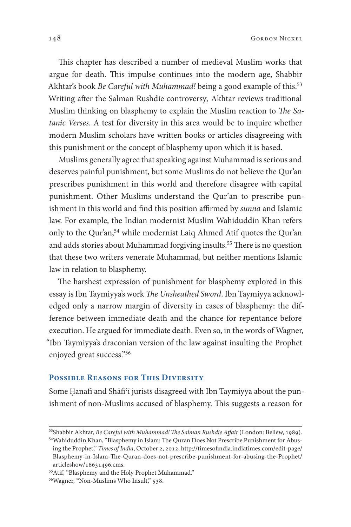This chapter has described a number of medieval Muslim works that argue for death. This impulse continues into the modern age, Shabbir Akhtar's book *Be Careful with Muhammad!* being a good example of this. Writing afer the Salman Rushdie controversy*,* Akhtar reviews traditional Muslim thinking on blasphemy to explain the Muslim reaction to *The Satanic Verses*. A test for diversity in this area would be to inquire whether modern Muslim scholars have written books or articles disagreeing with this punishment or the concept of blasphemy upon which it is based.

Muslims generally agree that speaking against Muhammad is serious and deserves painful punishment, but some Muslims do not believe the Qur'an prescribes punishment in this world and therefore disagree with capital punishment. Other Muslims understand the Qur'an to prescribe punishment in this world and find this position affirmed by *sunna* and Islamic law. For example, the Indian modernist Muslim Wahiduddin Khan refers only to the Qur'an,<sup>54</sup> while modernist Laiq Ahmed Atif quotes the Qur'an and adds stories about Muhammad forgiving insults.<sup>55</sup> There is no question that these two writers venerate Muhammad, but neither mentions Islamic law in relation to blasphemy.

The harshest expression of punishment for blasphemy explored in this essay is Ibn Taymiyya's work The Unsheathed Sword. Ibn Taymiyya acknowledged only a narrow margin of diversity in cases of blasphemy: the difference between immediate death and the chance for repentance before execution. He argued for immediate death. Even so, in the words of Wagner, "Ibn Taymiyya's draconian version of the law against insulting the Prophet enjoyed great success."

#### **Possible Reasons for This Diversity**

Some Ḥanafī and Shāfi<sup>c</sup>ī jurists disagreed with Ibn Taymiyya about the punishment of non-Muslims accused of blasphemy. This suggests a reason for

<sup>53</sup>Shabbir Akhtar, *Be Careful with Muhammad! The Salman Rushdie Affair* (London: Bellew, 1989).

<sup>54</sup> Wahiduddin Khan, "Blasphemy in Islam: The Quran Does Not Prescribe Punishment for Abusing the Prophet," *Times of India*, October 2, 2012, http://timesofi[ndia.indiatimes.com/edit-page/](http://timesofindia.indiatimes.com/edit-page/Blasphemy-in-Islam-The-Quran-does-not-prescribe-punishment-for-abusing-the-Prophet/articleshow/16631496.cms) Blasphemy-in-Islam-T[e-Quran-does-not-prescribe-punishment-for-abusing-the-Prophet/](http://timesofindia.indiatimes.com/edit-page/Blasphemy-in-Islam-The-Quran-does-not-prescribe-punishment-for-abusing-the-Prophet/articleshow/16631496.cms)  $articleshow/16631496.cms.$  $articleshow/16631496.cms.$ 

<sup>55</sup>Atif, "Blasphemy and the Holy Prophet Muhammad."

<sup>&</sup>lt;sup>56</sup>Wagner, "Non-Muslims Who Insult," 538.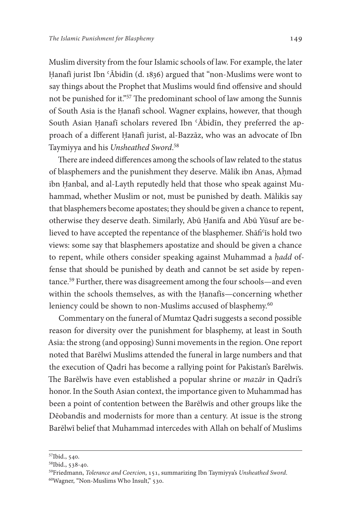Muslim diversity from the four Islamic schools of law. For example, the later Ḥanafī jurist Ibn ʿĀbidīn (d. 1836) argued that "non-Muslims were wont to say things about the Prophet that Muslims would fnd ofensive and should not be punished for it."<sup>57</sup> The predominant school of law among the Sunnis of South Asia is the Ḥanafī school. Wagner explains, however, that though South Asian Hanafī scholars revered Ibn 'Ābidīn, they preferred the approach of a diferent Ḥanafī jurist, al-Bazzāz, who was an advocate of Ibn Taymiyya and his *Unsheathed Sword*.

There are indeed differences among the schools of law related to the status of blasphemers and the punishment they deserve. Mālik ibn Anas, Aḥmad ibn Ḥanbal, and al-Layth reputedly held that those who speak against Muhammad, whether Muslim or not, must be punished by death. Mālikīs say that blasphemers become apostates; they should be given a chance to repent, otherwise they deserve death. Similarly, Abū Ḥanīfa and Abū Yūsuf are believed to have accepted the repentance of the blasphemer. Shāfi'is hold two views: some say that blasphemers apostatize and should be given a chance to repent, while others consider speaking against Muhammad a *ḥadd* offense that should be punished by death and cannot be set aside by repentance.<sup>59</sup> Further, there was disagreement among the four schools—and even within the schools themselves, as with the Ḥanafīs—concerning whether leniency could be shown to non-Muslims accused of blasphemy.<sup>60</sup>

Commentary on the funeral of Mumtaz Qadri suggests a second possible reason for diversity over the punishment for blasphemy, at least in South Asia: the strong (and opposing) Sunni movements in the region. One report noted that Barēlwī Muslims attended the funeral in large numbers and that the execution of Qadri has become a rallying point for Pakistan's Barēlwīs. The Barēlwīs have even established a popular shrine or *mazār* in Qadri's honor. In the South Asian context, the importance given to Muhammad has been a point of contention between the Barēlwīs and other groups like the Dēobandīs and modernists for more than a century. At issue is the strong Barēlwī belief that Muhammad intercedes with Allah on behalf of Muslims

<sup>&</sup>lt;sup>57</sup>Ibid., 540.

<sup>58</sup>Ibid., 538-40.

<sup>59</sup>Friedmann, *Tolerance and Coercion*, 151, summarizing Ibn Taymiyya's *Unsheathed Sword*.

 $60$ Wagner, "Non-Muslims Who Insult," 530.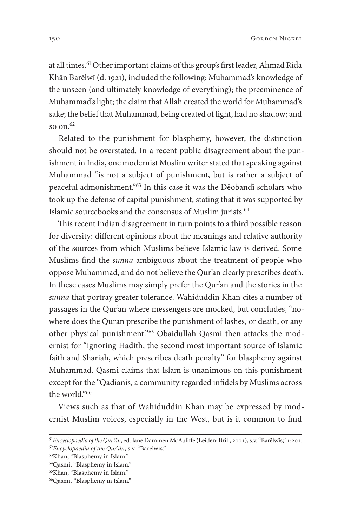at all times.<sup>61</sup> Other important claims of this group's first leader, Ahmad Rida Khān Barēlwī (d. 1921), included the following: Muhammad's knowledge of the unseen (and ultimately knowledge of everything); the preeminence of Muhammad's light; the claim that Allah created the world for Muhammad's sake; the belief that Muhammad, being created of light, had no shadow; and so on  $62$ 

Related to the punishment for blasphemy, however, the distinction should not be overstated. In a recent public disagreement about the punishment in India, one modernist Muslim writer stated that speaking against Muhammad "is not a subject of punishment, but is rather a subject of peaceful admonishment."<sup>63</sup> In this case it was the Dēobandī scholars who took up the defense of capital punishment, stating that it was supported by Islamic sourcebooks and the consensus of Muslim jurists.

This recent Indian disagreement in turn points to a third possible reason for diversity: diferent opinions about the meanings and relative authority of the sources from which Muslims believe Islamic law is derived. Some Muslims fnd the *sunna* ambiguous about the treatment of people who oppose Muhammad, and do not believe the Qur'an clearly prescribes death. In these cases Muslims may simply prefer the Qur'an and the stories in the *sunna* that portray greater tolerance. Wahiduddin Khan cites a number of passages in the Qur'an where messengers are mocked, but concludes, "nowhere does the Quran prescribe the punishment of lashes, or death, or any other physical punishment."<sup>65</sup> Obaidullah Qasmi then attacks the modernist for "ignoring Hadith, the second most important source of Islamic faith and Shariah, which prescribes death penalty" for blasphemy against Muhammad. Qasmi claims that Islam is unanimous on this punishment except for the "Qadianis, a community regarded infdels by Muslims across the world<sup>"66</sup>

Views such as that of Wahiduddin Khan may be expressed by modernist Muslim voices, especially in the West, but is it common to fnd

<sup>&</sup>lt;sup>61</sup> Encyclopaedia of the Qur<sup>*'an*</sup>, ed. Jane Dammen McAuliffe (Leiden: Brill, 2001), s.v. "Barēlwīs," 1:201. <sup>62</sup>*Encyclopaedia of the Qurʾ*ā*n*, s.v. "Barēlwīs."

<sup>63</sup>Khan, "Blasphemy in Islam."

<sup>64</sup>Qasmi, "Blasphemy in Islam."

<sup>65</sup>Khan, "Blasphemy in Islam."

<sup>66</sup>Qasmi, "Blasphemy in Islam."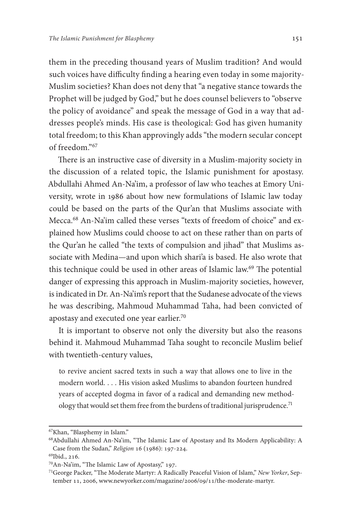them in the preceding thousand years of Muslim tradition? And would such voices have difficulty finding a hearing even today in some majority-Muslim societies? Khan does not deny that "a negative stance towards the Prophet will be judged by God," but he does counsel believers to "observe the policy of avoidance" and speak the message of God in a way that addresses people's minds. His case is theological: God has given humanity total freedom; to this Khan approvingly adds "the modern secular concept of freedom."

There is an instructive case of diversity in a Muslim-majority society in the discussion of a related topic, the Islamic punishment for apostasy. Abdullahi Ahmed An-Na'im, a professor of law who teaches at Emory University, wrote in 1986 about how new formulations of Islamic law today could be based on the parts of the Qur'an that Muslims associate with Mecca.<sup>68</sup> An-Na'im called these verses "texts of freedom of choice" and explained how Muslims could choose to act on these rather than on parts of the Qur'an he called "the texts of compulsion and jihad" that Muslims associate with Medina—and upon which shari'a is based. He also wrote that this technique could be used in other areas of Islamic law.<sup>69</sup> The potential danger of expressing this approach in Muslim-majority societies, however, is indicated in Dr. An-Na'im's report that the Sudanese advocate of the views he was describing, Mahmoud Muhammad Taha, had been convicted of apostasy and executed one year earlier.

It is important to observe not only the diversity but also the reasons behind it. Mahmoud Muhammad Taha sought to reconcile Muslim belief with twentieth-century values,

to revive ancient sacred texts in such a way that allows one to live in the modern world. . . . His vision asked Muslims to abandon fourteen hundred years of accepted dogma in favor of a radical and demanding new methodology that would set them free from the burdens of traditional jurisprudence.<sup>71</sup>

<sup>67</sup>Khan, "Blasphemy in Islam."

<sup>&</sup>lt;sup>68</sup>Abdullahi Ahmed An-Na'im, "The Islamic Law of Apostasy and Its Modern Applicability: A Case from the Sudan," *Religion* 16 (1986): 197-224.

<sup>69</sup>Ibid., 216.

<sup>70</sup>An-Na'im, "The Islamic Law of Apostasy," 197.

<sup>&</sup>lt;sup>71</sup>George Packer, "The Moderate Martyr: A Radically Peaceful Vision of Islam," New Yorker, September 11, 2006, [www.newyorker.com/magazine/](http://www.newyorker.com/magazine/2006/09/11/the-moderate-martyr)2006/09/11/the-moderate-martyr.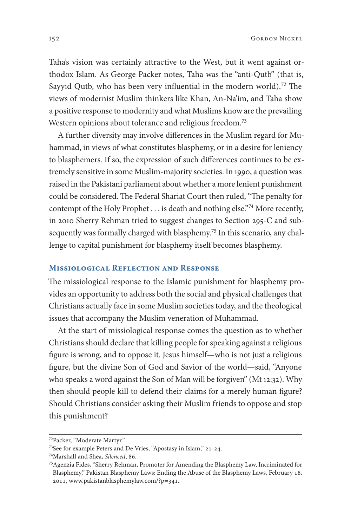Taha's vision was certainly attractive to the West, but it went against orthodox Islam. As George Packer notes, Taha was the "anti-Qutb" (that is, Sayyid Qutb, who has been very influential in the modern world).<sup>72</sup> The views of modernist Muslim thinkers like Khan, An-Na'im, and Taha show a positive response to modernity and what Muslims know are the prevailing Western opinions about tolerance and religious freedom.<sup>73</sup>

A further diversity may involve diferences in the Muslim regard for Muhammad, in views of what constitutes blasphemy, or in a desire for leniency to blasphemers. If so, the expression of such diferences continues to be extremely sensitive in some Muslim-majority societies. In 1990, a question was raised in the Pakistani parliament about whether a more lenient punishment could be considered. The Federal Shariat Court then ruled, "The penalty for contempt of the Holy Prophet . . . is death and nothing else."74 More recently, in 2010 Sherry Rehman tried to suggest changes to Section 295-C and subsequently was formally charged with blasphemy.<sup>75</sup> In this scenario, any challenge to capital punishment for blasphemy itself becomes blasphemy.

#### **Missiological Reflection and Response**

The missiological response to the Islamic punishment for blasphemy provides an opportunity to address both the social and physical challenges that Christians actually face in some Muslim societies today, and the theological issues that accompany the Muslim veneration of Muhammad.

At the start of missiological response comes the question as to whether Christians should declare that killing people for speaking against a religious fgure is wrong, and to oppose it. Jesus himself—who is not just a religious fgure, but the divine Son of God and Savior of the world—said, "Anyone who speaks a word against the Son of Man will be forgiven" [\(Mt](https://www.biblegateway.com/passage/?search=Mt+12%3A32&version=NIV) 12:32). Why then should people kill to defend their claims for a merely human fgure? Should Christians consider asking their Muslim friends to oppose and stop this punishment?

<sup>72</sup>Packer, "Moderate Martyr."

<sup>73</sup>See for example Peters and De Vries, "Apostasy in Islam," 21-24.

<sup>&</sup>lt;sup>74</sup>Marshall and Shea, Silenced, 86.

<sup>75</sup>Agenzia Fides, "Sherry Rehman, Promoter for Amending the Blasphemy Law, Incriminated for Blasphemy," Pakistan Blasphemy Laws: Ending the Abuse of the Blasphemy Laws, February 18, 2011, [www.pakistanblasphemylaw.com/?p=](http://www.pakistanblasphemylaw.com/?p=341)341.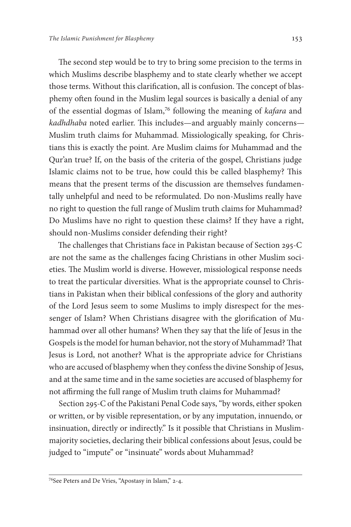The second step would be to try to bring some precision to the terms in which Muslims describe blasphemy and to state clearly whether we accept those terms. Without this clarification, all is confusion. The concept of blasphemy often found in the Muslim legal sources is basically a denial of any of the essential dogmas of Islam,<sup>76</sup> following the meaning of *kafara* and *kadhdhaba* noted earlier. This includes—and arguably mainly concerns— Muslim truth claims for Muhammad. Missiologically speaking, for Christians this is exactly the point. Are Muslim claims for Muhammad and the Qur'an true? If, on the basis of the criteria of the gospel, Christians judge Islamic claims not to be true, how could this be called blasphemy? This means that the present terms of the discussion are themselves fundamentally unhelpful and need to be reformulated. Do non-Muslims really have no right to question the full range of Muslim truth claims for Muhammad? Do Muslims have no right to question these claims? If they have a right, should non-Muslims consider defending their right?

The challenges that Christians face in Pakistan because of Section 295-C are not the same as the challenges facing Christians in other Muslim societies. The Muslim world is diverse. However, missiological response needs to treat the particular diversities. What is the appropriate counsel to Christians in Pakistan when their biblical confessions of the glory and authority of the Lord Jesus seem to some Muslims to imply disrespect for the messenger of Islam? When Christians disagree with the glorifcation of Muhammad over all other humans? When they say that the life of Jesus in the Gospels is the model for human behavior, not the story of Muhammad? That Jesus is Lord, not another? What is the appropriate advice for Christians who are accused of blasphemy when they confess the divine Sonship of Jesus, and at the same time and in the same societies are accused of blasphemy for not affirming the full range of Muslim truth claims for Muhammad?

Section 295-C of the Pakistani Penal Code says, "by words, either spoken or written, or by visible representation, or by any imputation, innuendo, or insinuation, directly or indirectly." Is it possible that Christians in Muslimmajority societies, declaring their biblical confessions about Jesus, could be judged to "impute" or "insinuate" words about Muhammad?

<sup>&</sup>lt;sup>76</sup>See Peters and De Vries, "Apostasy in Islam," 2-4.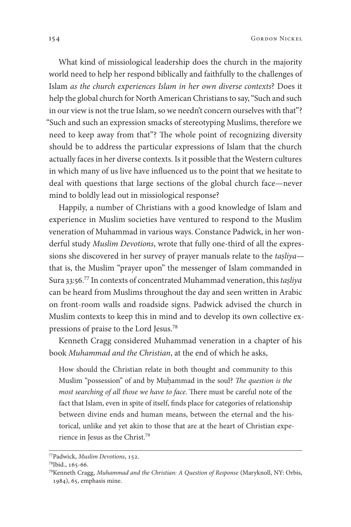What kind of missiological leadership does the church in the majority world need to help her respond biblically and faithfully to the challenges of Islam *as the church experiences Islam in her own diverse contexts*? Does it help the global church for North American Christians to say, "Such and such in our view is not the true Islam, so we needn't concern ourselves with that"? "Such and such an expression smacks of stereotyping Muslims, therefore we need to keep away from that"? The whole point of recognizing diversity should be to address the particular expressions of Islam that the church actually faces in her diverse contexts. Is it possible that the Western cultures in which many of us live have infuenced us to the point that we hesitate to deal with questions that large sections of the global church face—never mind to boldly lead out in missiological response?

Happily, a number of Christians with a good knowledge of Islam and experience in Muslim societies have ventured to respond to the Muslim veneration of Muhammad in various ways. Constance Padwick, in her wonderful study *Muslim Devotions*, wrote that fully one-third of all the expressions she discovered in her survey of prayer manuals relate to the *taṣliya* that is, the Muslim "prayer upon" the messenger of Islam commanded in Sura 33:56. In contexts of concentrated Muhammad veneration, this *taṣliya* can be heard from Muslims throughout the day and seen written in Arabic on front-room walls and roadside signs. Padwick advised the church in Muslim contexts to keep this in mind and to develop its own collective expressions of praise to the Lord Jesus.

Kenneth Cragg considered Muhammad veneration in a chapter of his book *Muhammad and the Christian*, at the end of which he asks,

How should the Christian relate in both thought and community to this Muslim "possession" of and by Muḥammad in the soul? The question is the *most searching of all those we have to face*. There must be careful note of the fact that Islam, even in spite of itself, fnds place for categories of relationship between divine ends and human means, between the eternal and the historical, unlike and yet akin to those that are at the heart of Christian experience in Jesus as the Christ.

<sup>&</sup>lt;sup>77</sup>Padwick, *Muslim Devotions*, 152.

 $^{78}$ Ibid., 165-66.

<sup>79</sup>Kenneth Cragg, *Muhammad and the Christian: A Question of Response* (Maryknoll, NY: Orbis, 1984), 65, emphasis mine.